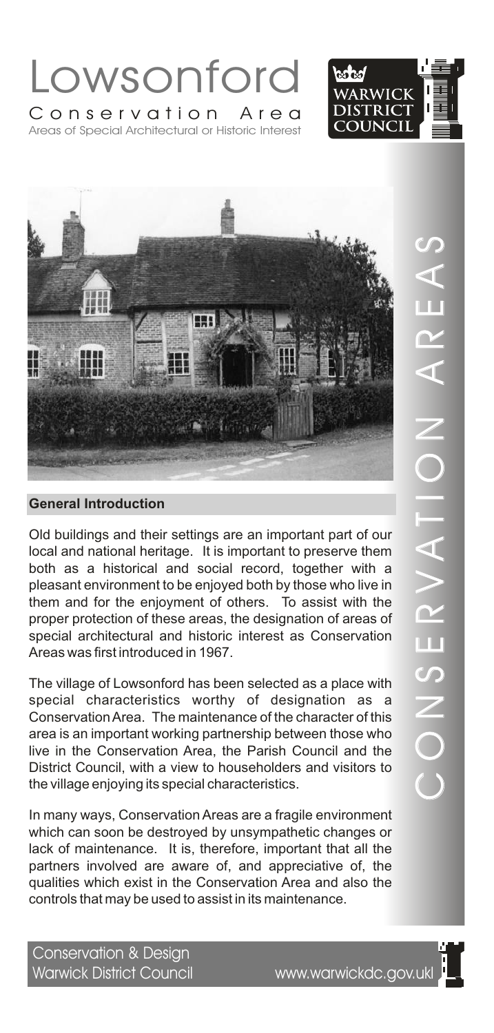





Old buildings and their settings are an important part of our local and national heritage. It is important to preserve them both as a historical and social record, together with a pleasant environment to be enjoyed both by those who live in them and for the enjoyment of others. To assist with the proper protection of these areas, the designation of areas of special architectural and historic interest as Conservation Areas was first introduced in 1967.

The village of Lowsonford has been selected as a place with special characteristics worthy of designation as a Conservation Area. The maintenance of the character of this area is an important working partnership between those who live in the Conservation Area, the Parish Council and the District Council, with a view to householders and visitors to the village enjoying its special characteristics.

In many ways, Conservation Areas are a fragile environment which can soon be destroyed by unsympathetic changes or lack of maintenance. It is, therefore, important that all the partners involved are aware of, and appreciative of, the qualities which exist in the Conservation Area and also the controls that may be used to assist in its maintenance.

Conservation & Design Warwick District Council www.warwickdc.gov.ukl

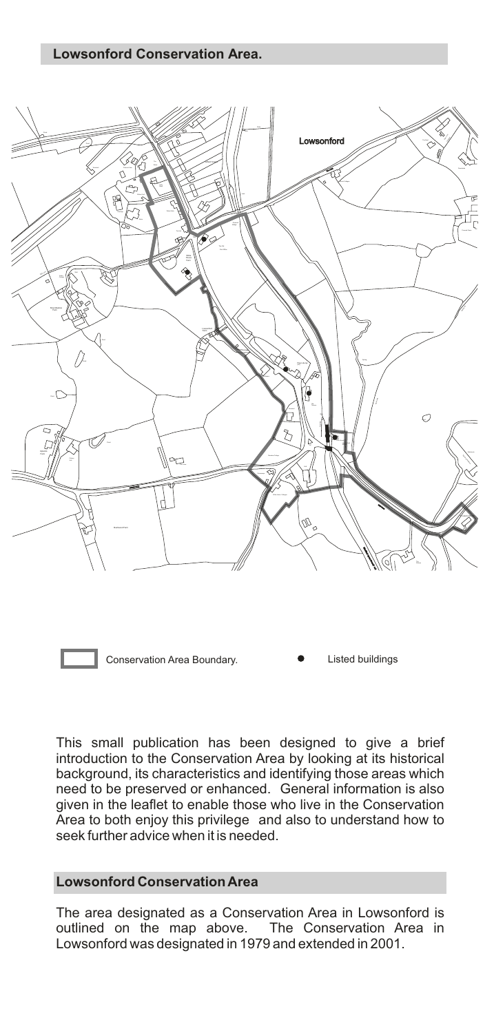**Lowsonford Conservation Area.**





Conservation Area Boundary. **Conservation Area Boundary. Conservation Area Boundary.** 

This small publication has been designed to give a brief introduction to the Conservation Area by looking at its historical background, its characteristics and identifying those areas which need to be preserved or enhanced. General information is also given in the leaflet to enable those who live in the Conservation Area to both enjoy this privilege and also to understand how to seek further advice when it is needed.

#### **Lowsonford Conservation Area**

The area designated as a Conservation Area in Lowsonford is outlined on the map above. The Conservation Area in Lowsonford was designated in 1979 and extended in 2001.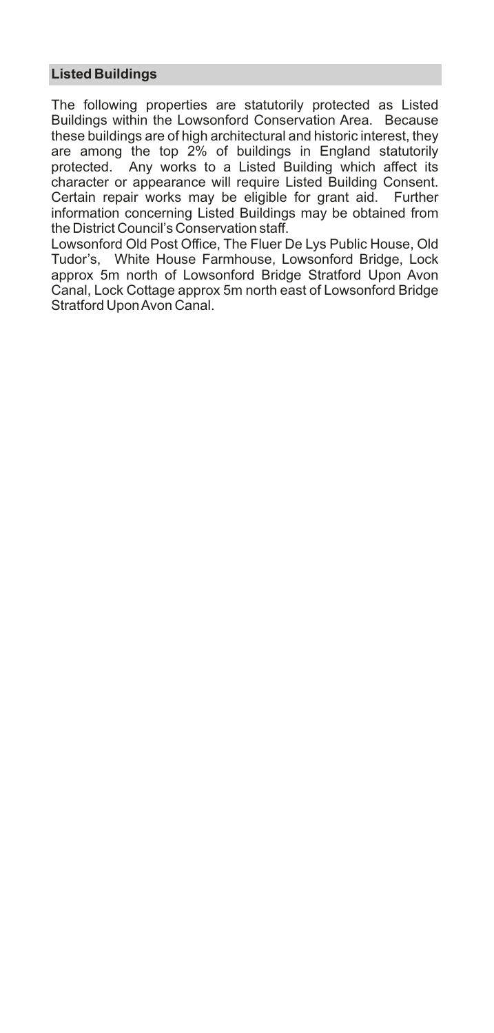## **Listed Buildings**

The following properties are statutorily protected as Listed Buildings within the Lowsonford Conservation Area. Because these buildings are of high architectural and historic interest, they are among the top 2% of buildings in England statutorily protected. Any works to a Listed Building which affect its character or appearance will require Listed Building Consent. Certain repair works may be eligible for grant aid. Further information concerning Listed Buildings may be obtained from the District Council's Conservation staff.

Lowsonford Old Post Office, The Fluer De Lys Public House, Old Tudor's, White House Farmhouse, Lowsonford Bridge, Lock approx 5m north of Lowsonford Bridge Stratford Upon Avon Canal, Lock Cottage approx 5m north east of Lowsonford Bridge Stratford Upon Avon Canal.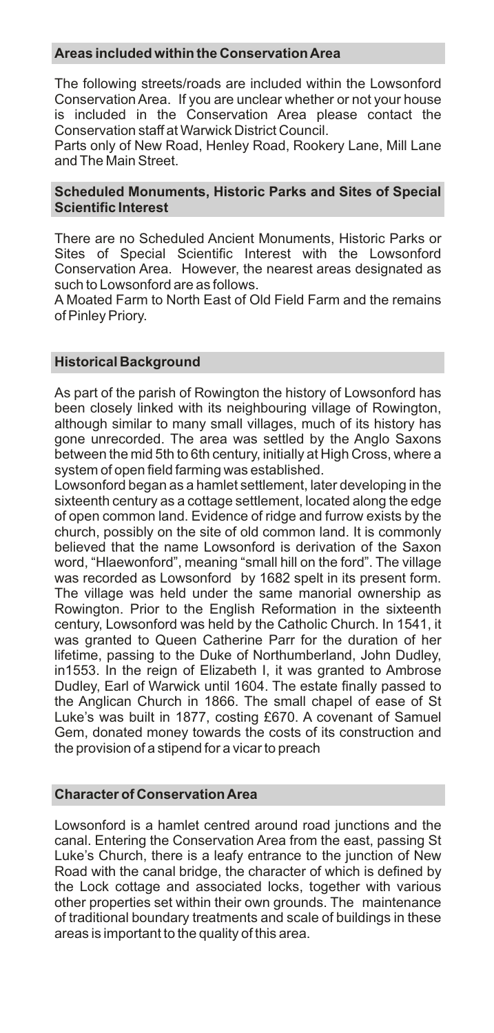## **Areas included within the Conservation Area**

The following streets/roads are included within the Lowsonford Conservation Area. If you are unclear whether or not your house is included in the Conservation Area please contact the Conservation staff at Warwick District Council.

Parts only of New Road, Henley Road, Rookery Lane, Mill Lane and The Main Street.

#### **Scheduled Monuments, Historic Parks and Sites of Special Scientific Interest**

There are no Scheduled Ancient Monuments, Historic Parks or Sites of Special Scientific Interest with the Lowsonford Conservation Area. However, the nearest areas designated as such to Lowsonford are as follows.

A Moated Farm to North East of Old Field Farm and the remains of Pinley Priory.

## **Historical Background**

As part of the parish of Rowington the history of Lowsonford has been closely linked with its neighbouring village of Rowington, although similar to many small villages, much of its history has gone unrecorded. The area was settled by the Anglo Saxons between the mid 5th to 6th century, initially at High Cross, where a system of open field farming was established.

Lowsonford began as a hamlet settlement, later developing in the sixteenth century as a cottage settlement, located along the edge of open common land. Evidence of ridge and furrow exists by the church, possibly on the site of old common land. It is commonly believed that the name Lowsonford is derivation of the Saxon word, "Hlaewonford", meaning "small hill on the ford". The village was recorded as Lowsonford by 1682 spelt in its present form. The village was held under the same manorial ownership as Rowington. Prior to the English Reformation in the sixteenth century, Lowsonford was held by the Catholic Church. In 1541, it was granted to Queen Catherine Parr for the duration of her lifetime, passing to the Duke of Northumberland, John Dudley, in1553. In the reign of Elizabeth I, it was granted to Ambrose Dudley, Earl of Warwick until 1604. The estate finally passed to the Anglican Church in 1866. The small chapel of ease of St Luke's was built in 1877, costing £670. A covenant of Samuel Gem, donated money towards the costs of its construction and the provision of a stipend for a vicar to preach

#### **Character of Conservation Area**

Lowsonford is a hamlet centred around road junctions and the canal. Entering the Conservation Area from the east, passing St Luke's Church, there is a leafy entrance to the junction of New Road with the canal bridge, the character of which is defined by the Lock cottage and associated locks, together with various other properties set within their own grounds. The maintenance of traditional boundary treatments and scale of buildings in these areas is important to the quality of this area.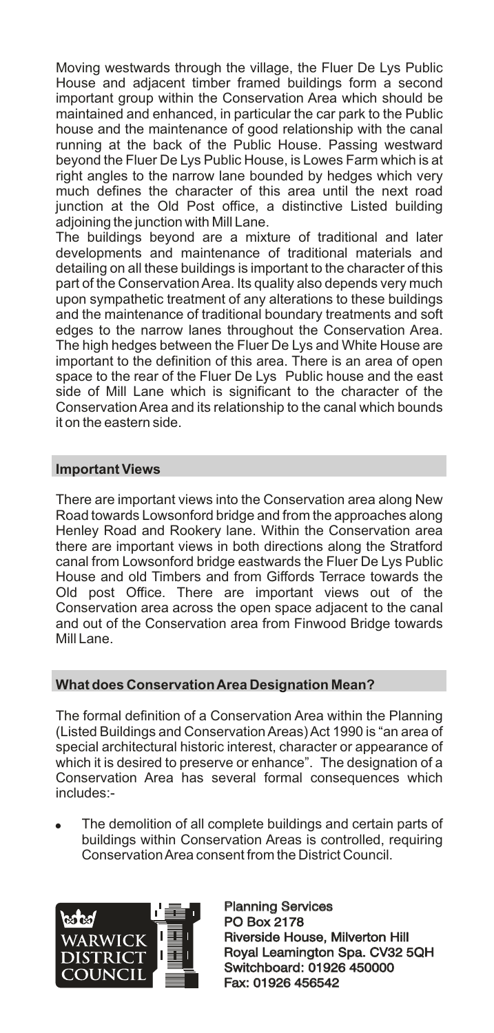Moving westwards through the village, the Fluer De Lys Public House and adjacent timber framed buildings form a second important group within the Conservation Area which should be maintained and enhanced, in particular the car park to the Public house and the maintenance of good relationship with the canal running at the back of the Public House. Passing westward beyond the Fluer De Lys Public House, is Lowes Farm which is at right angles to the narrow lane bounded by hedges which very much defines the character of this area until the next road junction at the Old Post office, a distinctive Listed building adjoining the junction with Mill Lane.

The buildings beyond are a mixture of traditional and later developments and maintenance of traditional materials and detailing on all these buildings is important to the character of this part of the Conservation Area. Its quality also depends very much upon sympathetic treatment of any alterations to these buildings and the maintenance of traditional boundary treatments and soft edges to the narrow lanes throughout the Conservation Area. The high hedges between the Fluer De Lys and White House are important to the definition of this area. There is an area of open space to the rear of the Fluer De Lys Public house and the east side of Mill Lane which is significant to the character of the Conservation Area and its relationship to the canal which bounds it on the eastern side.

# **Important Views**

There are important views into the Conservation area along New Road towards Lowsonford bridge and from the approaches along Henley Road and Rookery lane. Within the Conservation area there are important views in both directions along the Stratford canal from Lowsonford bridge eastwards the Fluer De Lys Public House and old Timbers and from Giffords Terrace towards the Old post Office. There are important views out of the Conservation area across the open space adjacent to the canal and out of the Conservation area from Finwood Bridge towards Mill Lane

# **What does Conservation Area Designation Mean?**

The formal definition of a Conservation Area within the Planning (Listed Buildings and Conservation Areas) Act 1990 is "an area of special architectural historic interest, character or appearance of which it is desired to preserve or enhance". The designation of a Conservation Area has several formal consequences which includes:-

The demolition of all complete buildings and certain parts of buildings within Conservation Areas is controlled, requiring Conservation Area consent from the District Council.



Planning Services PO Box 2178 Planning Services<br>PO Box 2178<br>Riverside House, Milverton Hill Royal Leamington Spa. CV32 5QH Switchboard: 01926 450000 Fax: 01926 456542 Royal Leamington Spa. CV32<br>Switchboard: 01926 450000<br>Fax: 01926 456542